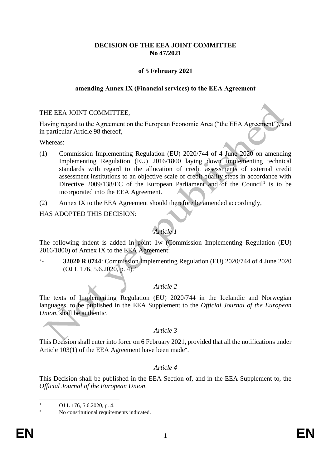# **DECISION OF THE EEA JOINT COMMITTEE No 47/2021**

# **of 5 February 2021**

#### **amending Annex IX (Financial services) to the EEA Agreement**

#### THE EEA JOINT COMMITTEE,

Having regard to the Agreement on the European Economic Area ("the EEA Agreement"), and in particular Article 98 thereof,

Whereas:

- (1) Commission Implementing Regulation (EU) 2020/744 of 4 June 2020 on amending Implementing Regulation (EU) 2016/1800 laying down implementing technical standards with regard to the allocation of credit assessments of external credit assessment institutions to an objective scale of credit quality steps in accordance with Directive  $2009/138/EC$  of the European Parliament and of the Council<sup>1</sup> is to be incorporated into the EEA Agreement.
- (2) Annex IX to the EEA Agreement should therefore be amended accordingly,

#### HAS ADOPTED THIS DECISION:

# *Article 1*

The following indent is added in point 1w (Commission Implementing Regulation (EU) 2016/1800) of Annex IX to the EEA Agreement:

'- **32020 R 0744**: Commission Implementing Regulation (EU) 2020/744 of 4 June 2020 (OJ L 176, 5.6.2020, p. 4).'

## *Article 2*

The texts of Implementing Regulation (EU) 2020/744 in the Icelandic and Norwegian languages, to be published in the EEA Supplement to the *Official Journal of the European Union*, shall be authentic.

## *Article 3*

This Decision shall enter into force on 6 February 2021, provided that all the notifications under Article 103(1) of the EEA Agreement have been made<sup>\*</sup>.

## *Article 4*

This Decision shall be published in the EEA Section of, and in the EEA Supplement to, the *Official Journal of the European Union*.

OJ L 176, 5.6.2020, p. 4.

No constitutional requirements indicated.